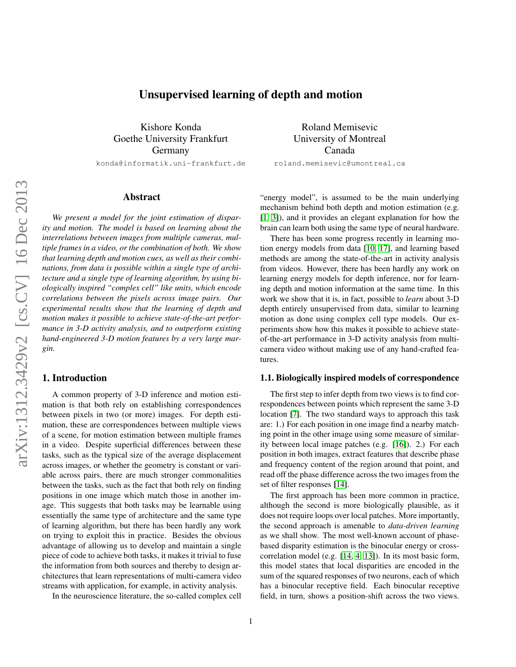## Unsupervised learning of depth and motion

Kishore Konda Goethe University Frankfurt Germany konda@informatik.uni-frankfurt.de

## Abstract

*We present a model for the joint estimation of disparity and motion. The model is based on learning about the interrelations between images from multiple cameras, multiple frames in a video, or the combination of both. We show that learning depth and motion cues, as well as their combinations, from data is possible within a single type of architecture and a single type of learning algorithm, by using biologically inspired "complex cell" like units, which encode correlations between the pixels across image pairs. Our experimental results show that the learning of depth and motion makes it possible to achieve state-of-the-art performance in 3-D activity analysis, and to outperform existing hand-engineered 3-D motion features by a very large margin.*

## 1. Introduction

A common property of 3-D inference and motion estimation is that both rely on establishing correspondences between pixels in two (or more) images. For depth estimation, these are correspondences between multiple views of a scene, for motion estimation between multiple frames in a video. Despite superficial differences between these tasks, such as the typical size of the average displacement across images, or whether the geometry is constant or variable across pairs, there are much stronger commonalities between the tasks, such as the fact that both rely on finding positions in one image which match those in another image. This suggests that both tasks may be learnable using essentially the same type of architecture and the same type of learning algorithm, but there has been hardly any work on trying to exploit this in practice. Besides the obvious advantage of allowing us to develop and maintain a single piece of code to achieve both tasks, it makes it trivial to fuse the information from both sources and thereby to design architectures that learn representations of multi-camera video streams with application, for example, in activity analysis.

In the neuroscience literature, the so-called complex cell

Roland Memisevic University of Montreal Canada roland.memisevic@umontreal.ca

"energy model", is assumed to be the main underlying mechanism behind both depth and motion estimation (e.g. [\[1,](#page-7-0) [3\]](#page-7-1)), and it provides an elegant explanation for how the brain can learn both using the same type of neural hardware.

There has been some progress recently in learning motion energy models from data [\[10,](#page-7-2) [17\]](#page-7-3), and learning based methods are among the state-of-the-art in activity analysis from videos. However, there has been hardly any work on learning energy models for depth inference, nor for learning depth and motion information at the same time. In this work we show that it is, in fact, possible to *learn* about 3-D depth entirely unsupervised from data, similar to learning motion as done using complex cell type models. Our experiments show how this makes it possible to achieve stateof-the-art performance in 3-D activity analysis from multicamera video without making use of any hand-crafted features.

#### 1.1. Biologically inspired models of correspondence

The first step to infer depth from two views is to find correspondences between points which represent the same 3-D location [\[7\]](#page-7-4). The two standard ways to approach this task are: 1.) For each position in one image find a nearby matching point in the other image using some measure of similarity between local image patches (e.g. [\[16\]](#page-7-5)). 2.) For each position in both images, extract features that describe phase and frequency content of the region around that point, and read off the phase difference across the two images from the set of filter responses [\[14\]](#page-7-6).

The first approach has been more common in practice, although the second is more biologically plausible, as it does not require loops over local patches. More importantly, the second approach is amenable to *data-driven learning* as we shall show. The most well-known account of phasebased disparity estimation is the binocular energy or crosscorrelation model (e.g. [\[14,](#page-7-6) [4,](#page-7-7) [13\]](#page-7-8)). In its most basic form, this model states that local disparities are encoded in the sum of the squared responses of two neurons, each of which has a binocular receptive field. Each binocular receptive field, in turn, shows a position-shift across the two views.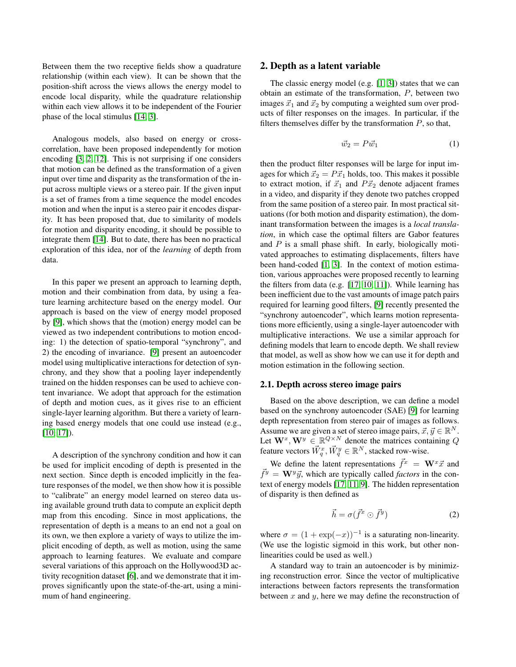Between them the two receptive fields show a quadrature relationship (within each view). It can be shown that the position-shift across the views allows the energy model to encode local disparity, while the quadrature relationship within each view allows it to be independent of the Fourier phase of the local stimulus [\[14,](#page-7-6) [3\]](#page-7-1).

Analogous models, also based on energy or crosscorrelation, have been proposed independently for motion encoding [\[3,](#page-7-1) [2,](#page-7-9) [12\]](#page-7-10). This is not surprising if one considers that motion can be defined as the transformation of a given input over time and disparity as the transformation of the input across multiple views or a stereo pair. If the given input is a set of frames from a time sequence the model encodes motion and when the input is a stereo pair it encodes disparity. It has been proposed that, due to similarity of models for motion and disparity encoding, it should be possible to integrate them [\[14\]](#page-7-6). But to date, there has been no practical exploration of this idea, nor of the *learning* of depth from data.

In this paper we present an approach to learning depth, motion and their combination from data, by using a feature learning architecture based on the energy model. Our approach is based on the view of energy model proposed by [\[9\]](#page-7-11), which shows that the (motion) energy model can be viewed as two independent contributions to motion encoding: 1) the detection of spatio-temporal "synchrony", and 2) the encoding of invariance. [\[9\]](#page-7-11) present an autoencoder model using multiplicative interactions for detection of synchrony, and they show that a pooling layer independently trained on the hidden responses can be used to achieve content invariance. We adopt that approach for the estimation of depth and motion cues, as it gives rise to an efficient single-layer learning algorithm. But there a variety of learning based energy models that one could use instead (e.g.,  $[10, 17]$  $[10, 17]$ .

A description of the synchrony condition and how it can be used for implicit encoding of depth is presented in the next section. Since depth is encoded implicitly in the feature responses of the model, we then show how it is possible to "calibrate" an energy model learned on stereo data using available ground truth data to compute an explicit depth map from this encoding. Since in most applications, the representation of depth is a means to an end not a goal on its own, we then explore a variety of ways to utilize the implicit encoding of depth, as well as motion, using the same approach to learning features. We evaluate and compare several variations of this approach on the Hollywood3D activity recognition dataset [\[6\]](#page-7-12), and we demonstrate that it improves significantly upon the state-of-the-art, using a minimum of hand engineering.

## <span id="page-1-2"></span>2. Depth as a latent variable

The classic energy model (e.g. [\[1,](#page-7-0) [3\]](#page-7-1)) states that we can obtain an estimate of the transformation, P, between two images  $\vec{x}_1$  and  $\vec{x}_2$  by computing a weighted sum over products of filter responses on the images. In particular, if the filters themselves differ by the transformation  $P$ , so that,

<span id="page-1-0"></span>
$$
\vec{w}_2 = P\vec{w}_1 \tag{1}
$$

then the product filter responses will be large for input images for which  $\vec{x}_2 = P \vec{x}_1$  holds, too. This makes it possible to extract motion, if  $\vec{x}_1$  and  $P \vec{x}_2$  denote adjacent frames in a video, and disparity if they denote two patches cropped from the same position of a stereo pair. In most practical situations (for both motion and disparity estimation), the dominant transformation between the images is a *local translation*, in which case the optimal filters are Gabor features and  $P$  is a small phase shift. In early, biologically motivated approaches to estimating displacements, filters have been hand-coded [\[1,](#page-7-0) [3\]](#page-7-1). In the context of motion estimation, various approaches were proposed recently to learning the filters from data (e.g. [\[17,](#page-7-3) [10,](#page-7-2) [11\]](#page-7-13)). While learning has been inefficient due to the vast amounts of image patch pairs required for learning good filters, [\[9\]](#page-7-11) recently presented the "synchrony autoencoder", which learns motion representations more efficiently, using a single-layer autoencoder with multiplicative interactions. We use a similar approach for defining models that learn to encode depth. We shall review that model, as well as show how we can use it for depth and motion estimation in the following section.

## <span id="page-1-1"></span>2.1. Depth across stereo image pairs

Based on the above description, we can define a model based on the synchrony autoencoder (SAE) [\[9\]](#page-7-11) for learning depth representation from stereo pair of images as follows. Assume we are given a set of stereo image pairs,  $\vec{x}, \vec{y} \in \mathbb{R}^N$ . Let  $\mathbf{W}^x, \mathbf{W}^y \in \mathbb{R}^{Q \times N}$  denote the matrices containing Q feature vectors  $\vec{W}_q^x$ ,  $\vec{W}_q^y \in \mathbb{R}^N$ , stacked row-wise.

We define the latent representations  $\vec{f}^x = \mathbf{W}^x \vec{x}$  and  $\vec{f}^y = \mathbf{W}^y \vec{y}$ , which are typically called *factors* in the context of energy models [\[17,](#page-7-3) [11,](#page-7-13) [9\]](#page-7-11). The hidden representation of disparity is then defined as

<span id="page-1-3"></span>
$$
\vec{h} = \sigma(\vec{f}^x \odot \vec{f}^y) \tag{2}
$$

where  $\sigma = (1 + \exp(-x))^{-1}$  is a saturating non-linearity. (We use the logistic sigmoid in this work, but other nonlinearities could be used as well.)

A standard way to train an autoencoder is by minimizing reconstruction error. Since the vector of multiplicative interactions between factors represents the transformation between  $x$  and  $y$ , here we may define the reconstruction of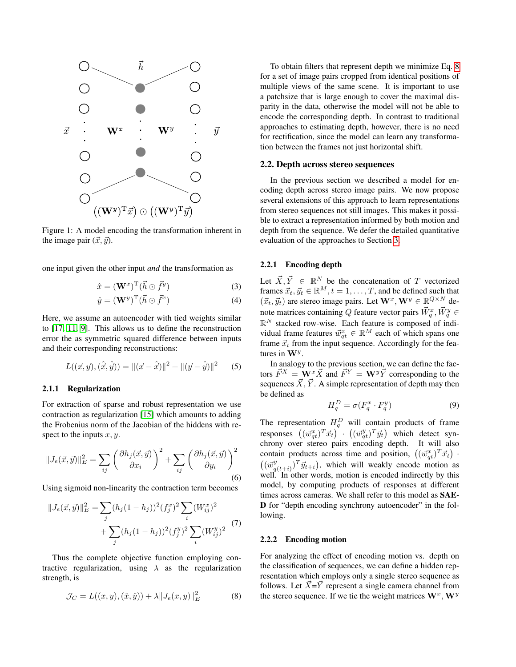

Figure 1: A model encoding the transformation inherent in the image pair  $(\vec{x}, \vec{y})$ .

one input given the other input *and* the transformation as

$$
\hat{x} = (\mathbf{W}^x)^\mathrm{T} (\vec{h} \odot \vec{f}^y) \tag{3}
$$

$$
\hat{y} = (\mathbf{W}^y)^{\mathrm{T}} (\vec{h} \odot \vec{f}^x)
$$
 (4)

Here, we assume an autoencoder with tied weights similar to [\[17,](#page-7-3) [11,](#page-7-13) [9\]](#page-7-11). This allows us to define the reconstruction error the as symmetric squared difference between inputs and their corresponding reconstructions:

<span id="page-2-2"></span>
$$
L((\vec{x}, \vec{y}), (\hat{\vec{x}}, \hat{\vec{y}})) = ||(\vec{x} - \hat{\vec{x}})||^2 + ||(\vec{y} - \hat{\vec{y}})||^2
$$
 (5)

## 2.1.1 Regularization

For extraction of sparse and robust representation we use contraction as regularization [\[15\]](#page-7-14) which amounts to adding the Frobenius norm of the Jacobian of the hiddens with respect to the inputs  $x, y$ .

$$
||J_e(\vec{x}, \vec{y})||_E^2 = \sum_{ij} \left(\frac{\partial h_j(\vec{x}, \vec{y})}{\partial x_i}\right)^2 + \sum_{ij} \left(\frac{\partial h_j(\vec{x}, \vec{y})}{\partial y_i}\right)^2
$$
(6)

Using sigmoid non-linearity the contraction term becomes

<span id="page-2-3"></span>
$$
||J_e(\vec{x}, \vec{y})||_E^2 = \sum_j (h_j(1 - h_j))^2 (f_j^x)^2 \sum_i (W_{ij}^x)^2 + \sum_j (h_j(1 - h_j))^2 (f_j^y)^2 \sum_i (W_{ij}^y)^2
$$
 (7)

Thus the complete objective function employing contractive regularization, using  $\lambda$  as the regularization strength, is

<span id="page-2-0"></span>
$$
\mathcal{J}_C = L((x, y), (\hat{x}, \hat{y})) + \lambda ||J_e(x, y)||_E^2
$$
 (8)

To obtain filters that represent depth we minimize Eq. [8](#page-2-0) for a set of image pairs cropped from identical positions of multiple views of the same scene. It is important to use a patchsize that is large enough to cover the maximal disparity in the data, otherwise the model will not be able to encode the corresponding depth. In contrast to traditional approaches to estimating depth, however, there is no need for rectification, since the model can learn any transformation between the frames not just horizontal shift.

## 2.2. Depth across stereo sequences

In the previous section we described a model for encoding depth across stereo image pairs. We now propose several extensions of this approach to learn representations from stereo sequences not still images. This makes it possible to extract a representation informed by both motion and depth from the sequence. We defer the detailed quantitative evaluation of the approaches to Section [3.](#page-4-0)

## 2.2.1 Encoding depth

Let  $\vec{X}, \vec{Y} \in \mathbb{R}^N$  be the concatenation of T vectorized frames  $\vec{x}_t, \vec{y}_t \in \mathbb{R}^M, t = 1, \dots, T$ , and be defined such that  $(\vec{x}_t, \vec{y}_t)$  are stereo image pairs. Let  $\mathbf{W}^x, \mathbf{W}^y \in \mathbb{R}^{Q \times N}$  denote matrices containing Q feature vector pairs  $\vec{W}_{q}^{x}, \vec{W}_{q}^{y} \in$  $\mathbb{R}^N$  stacked row-wise. Each feature is composed of individual frame features  $\vec{w}_{qt}^x \in \mathbb{R}^M$  each of which spans one frame  $\vec{x}_t$  from the input sequence. Accordingly for the features in  $\mathbf{W}^y$ .

In analogy to the previous section, we can define the factors  $\vec{F}^X = \mathbf{W}^x \vec{X}$  and  $\vec{F}^Y = \mathbf{W}^y \vec{Y}$  corresponding to the sequences  $\vec{X}, \vec{Y}$ . A simple representation of depth may then be defined as

<span id="page-2-1"></span>
$$
H_q^D = \sigma(F_q^x \cdot F_q^y) \tag{9}
$$

The representation  $H_q^D$  will contain products of frame responses  $((\vec{w}_{qt}^x)^T\vec{x}_t)^{\hat{-}} \cdot ((\vec{w}_{qt}^y)^T\vec{y}_t)$  which detect synchrony over stereo pairs encoding depth. It will also contain products across time and position,  $((\vec{w}_{qt}^x)^T \vec{x}_t)$ .  $((\vec{w}_a^y$  $\frac{y}{q(t+i)}$   $\left(\frac{y}{y_{t+i}}\right)$ , which will weakly encode motion as well. In other words, motion is encoded indirectly by this model, by computing products of responses at different times across cameras. We shall refer to this model as SAE-D for "depth encoding synchrony autoencoder" in the following.

#### 2.2.2 Encoding motion

For analyzing the effect of encoding motion vs. depth on the classification of sequences, we can define a hidden representation which employs only a single stereo sequence as follows. Let  $\vec{X} = \vec{Y}$  represent a single camera channel from the stereo sequence. If we tie the weight matrices  $\mathbf{W}^x$ ,  $\mathbf{W}^y$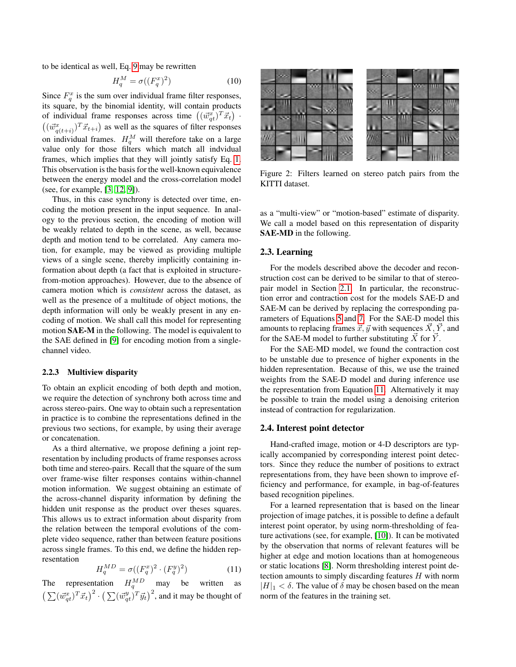to be identical as well, Eq. [9](#page-2-1) may be rewritten

$$
H_q^M = \sigma((F_q^x)^2) \tag{10}
$$

Since  $F_q^x$  is the sum over individual frame filter responses, its square, by the binomial identity, will contain products of individual frame responses across time  $((\vec{w}_{qt}^x)^T \vec{x}_t)$ .  $((\vec{w}_{q(t+i)}^x)^T \vec{x}_{t+i})$  as well as the squares of filter responses on individual frames.  $H_q^M$  will therefore take on a large value only for those filters which match all indvidual frames, which implies that they will jointly satisfy Eq. [1.](#page-1-0) This observation is the basis for the well-known equivalence between the energy model and the cross-correlation model (see, for example, [\[3,](#page-7-1) [12,](#page-7-10) [9\]](#page-7-11)).

Thus, in this case synchrony is detected over time, encoding the motion present in the input sequence. In analogy to the previous section, the encoding of motion will be weakly related to depth in the scene, as well, because depth and motion tend to be correlated. Any camera motion, for example, may be viewed as providing multiple views of a single scene, thereby implicitly containing information about depth (a fact that is exploited in structurefrom-motion approaches). However, due to the absence of camera motion which is *consistent* across the dataset, as well as the presence of a multitude of object motions, the depth information will only be weakly present in any encoding of motion. We shall call this model for representing motion SAE-M in the following. The model is equivalent to the SAE defined in [\[9\]](#page-7-11) for encoding motion from a singlechannel video.

#### 2.2.3 Multiview disparity

To obtain an explicit encoding of both depth and motion, we require the detection of synchrony both across time and across stereo-pairs. One way to obtain such a representation in practice is to combine the representations defined in the previous two sections, for example, by using their average or concatenation.

As a third alternative, we propose defining a joint representation by including products of frame responses across both time and stereo-pairs. Recall that the square of the sum over frame-wise filter responses contains within-channel motion information. We suggest obtaining an estimate of the across-channel disparity information by defining the hidden unit response as the product over theses squares. This allows us to extract information about disparity from the relation between the temporal evolutions of the complete video sequence, rather than between feature positions across single frames. To this end, we define the hidden representation

<span id="page-3-0"></span>
$$
H_q^{MD} = \sigma((F_q^x)^2 \cdot (F_q^y)^2)
$$
 (11)

The representation  $H_q^{MD}$  may be written as  $\left(\sum (\vec{w}_{qt}^x)^T \vec{x}_t\right)^2 \cdot \left(\sum (\vec{w}_{qt}^y)^T \vec{y}_t\right)^2$ , and it may be thought of

<span id="page-3-1"></span>

Figure 2: Filters learned on stereo patch pairs from the KITTI dataset.

as a "multi-view" or "motion-based" estimate of disparity. We call a model based on this representation of disparity SAE-MD in the following.

#### 2.3. Learning

For the models described above the decoder and reconstruction cost can be derived to be similar to that of stereopair model in Section [2.1.](#page-1-1) In particular, the reconstruction error and contraction cost for the models SAE-D and SAE-M can be derived by replacing the corresponding parameters of Equations [5](#page-2-2) and [7.](#page-2-3) For the SAE-D model this amounts to replacing frames  $\vec{x}, \vec{y}$  with sequences  $\vec{X}, \vec{Y}$ , and for the SAE-M model to further substituting  $\vec{X}$  for  $\vec{Y}$ .

For the SAE-MD model, we found the contraction cost to be unstable due to presence of higher exponents in the hidden representation. Because of this, we use the trained weights from the SAE-D model and during inference use the representation from Equation [11.](#page-3-0) Alternatively it may be possible to train the model using a denoising criterion instead of contraction for regularization.

#### <span id="page-3-2"></span>2.4. Interest point detector

Hand-crafted image, motion or 4-D descriptors are typically accompanied by corresponding interest point detectors. Since they reduce the number of positions to extract representations from, they have been shown to improve efficiency and performance, for example, in bag-of-features based recognition pipelines.

For a learned representation that is based on the linear projection of image patches, it is possible to define a default interest point operator, by using norm-thresholding of feature activations (see, for example, [\[10\]](#page-7-2)). It can be motivated by the observation that norms of relevant features will be higher at edge and motion locations than at homogeneous or static locations [\[8\]](#page-7-15). Norm thresholding interest point detection amounts to simply discarding features H with norm  $|H|_1 < \delta$ . The value of  $\delta$  may be chosen based on the mean norm of the features in the training set.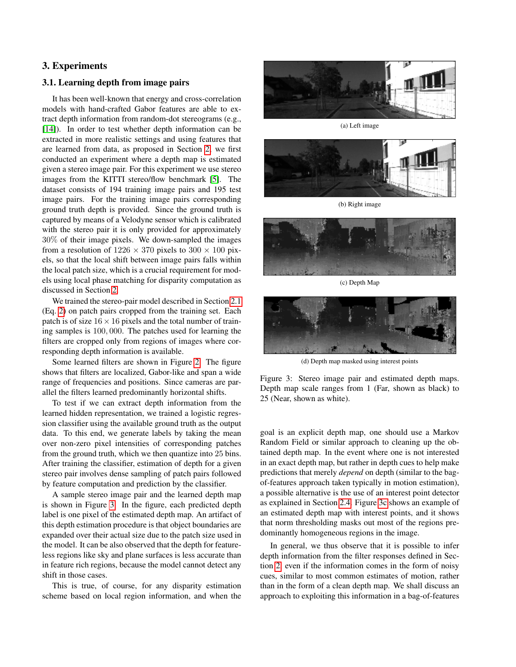## <span id="page-4-0"></span>3. Experiments

## 3.1. Learning depth from image pairs

It has been well-known that energy and cross-correlation models with hand-crafted Gabor features are able to extract depth information from random-dot stereograms (e.g., [\[14\]](#page-7-6)). In order to test whether depth information can be extracted in more realistic settings and using features that are learned from data, as proposed in Section [2,](#page-1-2) we first conducted an experiment where a depth map is estimated given a stereo image pair. For this experiment we use stereo images from the KITTI stereo/flow benchmark [\[5\]](#page-7-16). The dataset consists of 194 training image pairs and 195 test image pairs. For the training image pairs corresponding ground truth depth is provided. Since the ground truth is captured by means of a Velodyne sensor which is calibrated with the stereo pair it is only provided for approximately 30% of their image pixels. We down-sampled the images from a resolution of  $1226 \times 370$  pixels to  $300 \times 100$  pixels, so that the local shift between image pairs falls within the local patch size, which is a crucial requirement for models using local phase matching for disparity computation as discussed in Section [2.](#page-1-2)

We trained the stereo-pair model described in Section [2.1](#page-1-1) (Eq. [2\)](#page-1-3) on patch pairs cropped from the training set. Each patch is of size  $16 \times 16$  pixels and the total number of training samples is 100, 000. The patches used for learning the filters are cropped only from regions of images where corresponding depth information is available.

Some learned filters are shown in Figure [2.](#page-3-1) The figure shows that filters are localized, Gabor-like and span a wide range of frequencies and positions. Since cameras are parallel the filters learned predominantly horizontal shifts.

To test if we can extract depth information from the learned hidden representation, we trained a logistic regression classifier using the available ground truth as the output data. To this end, we generate labels by taking the mean over non-zero pixel intensities of corresponding patches from the ground truth, which we then quantize into 25 bins. After training the classifier, estimation of depth for a given stereo pair involves dense sampling of patch pairs followed by feature computation and prediction by the classifier.

A sample stereo image pair and the learned depth map is shown in Figure [3.](#page-4-1) In the figure, each predicted depth label is one pixel of the estimated depth map. An artifact of this depth estimation procedure is that object boundaries are expanded over their actual size due to the patch size used in the model. It can be also observed that the depth for featureless regions like sky and plane surfaces is less accurate than in feature rich regions, because the model cannot detect any shift in those cases.

This is true, of course, for any disparity estimation scheme based on local region information, and when the

<span id="page-4-1"></span>

(a) Left image



(b) Right image

<span id="page-4-2"></span>

(c) Depth Map



(d) Depth map masked using interest points

Figure 3: Stereo image pair and estimated depth maps. Depth map scale ranges from 1 (Far, shown as black) to 25 (Near, shown as white).

goal is an explicit depth map, one should use a Markov Random Field or similar approach to cleaning up the obtained depth map. In the event where one is not interested in an exact depth map, but rather in depth cues to help make predictions that merely *depend* on depth (similar to the bagof-features approach taken typically in motion estimation), a possible alternative is the use of an interest point detector as explained in Section [2.4.](#page-3-2) Figure [3c](#page-4-2) shows an example of an estimated depth map with interest points, and it shows that norm thresholding masks out most of the regions predominantly homogeneous regions in the image.

In general, we thus observe that it is possible to infer depth information from the filter responses defined in Section [2,](#page-1-2) even if the information comes in the form of noisy cues, similar to most common estimates of motion, rather than in the form of a clean depth map. We shall discuss an approach to exploiting this information in a bag-of-features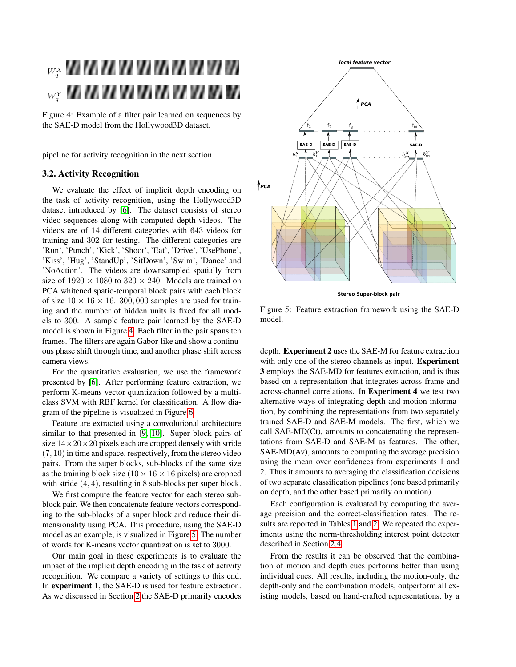# <span id="page-5-0"></span> $W_q^X$  $W_q^Y$

Figure 4: Example of a filter pair learned on sequences by the SAE-D model from the Hollywood3D dataset.

pipeline for activity recognition in the next section.

## 3.2. Activity Recognition

We evaluate the effect of implicit depth encoding on the task of activity recognition, using the Hollywood3D dataset introduced by [\[6\]](#page-7-12). The dataset consists of stereo video sequences along with computed depth videos. The videos are of 14 different categories with 643 videos for training and 302 for testing. The different categories are 'Run', 'Punch', 'Kick', 'Shoot', 'Eat', 'Drive', 'UsePhone', 'Kiss', 'Hug', 'StandUp', 'SitDown', 'Swim', 'Dance' and 'NoAction'. The videos are downsampled spatially from size of  $1920 \times 1080$  to  $320 \times 240$ . Models are trained on PCA whitened spatio-temporal block pairs with each block of size  $10 \times 16 \times 16$ . 300, 000 samples are used for training and the number of hidden units is fixed for all models to 300. A sample feature pair learned by the SAE-D model is shown in Figure [4.](#page-5-0) Each filter in the pair spans ten frames. The filters are again Gabor-like and show a continuous phase shift through time, and another phase shift across camera views.

For the quantitative evaluation, we use the framework presented by [\[6\]](#page-7-12). After performing feature extraction, we perform K-means vector quantization followed by a multiclass SVM with RBF kernel for classification. A flow diagram of the pipeline is visualized in Figure [6.](#page-6-0)

Feature are extracted using a convolutional architecture similar to that presented in [\[9,](#page-7-11) [10\]](#page-7-2). Super block pairs of size  $14 \times 20 \times 20$  pixels each are cropped densely with stride (7, 10) in time and space, respectively, from the stereo video pairs. From the super blocks, sub-blocks of the same size as the training block size ( $10 \times 16 \times 16$  pixels) are cropped with stride  $(4, 4)$ , resulting in 8 sub-blocks per super block.

We first compute the feature vector for each stereo subblock pair. We then concatenate feature vectors corresponding to the sub-blocks of a super block and reduce their dimensionality using PCA. This procedure, using the SAE-D model as an example, is visualized in Figure [5.](#page-5-1) The number of words for K-means vector quantization is set to 3000.

Our main goal in these experiments is to evaluate the impact of the implicit depth encoding in the task of activity recognition. We compare a variety of settings to this end. In experiment 1, the SAE-D is used for feature extraction. As we discussed in Section [2](#page-1-2) the SAE-D primarily encodes

<span id="page-5-1"></span>

Figure 5: Feature extraction framework using the SAE-D model.

depth. Experiment 2 uses the SAE-M for feature extraction with only one of the stereo channels as input. Experiment 3 employs the SAE-MD for features extraction, and is thus based on a representation that integrates across-frame and across-channel correlations. In Experiment 4 we test two alternative ways of integrating depth and motion information, by combining the representations from two separately trained SAE-D and SAE-M models. The first, which we call SAE-MD(Ct), amounts to concatenating the representations from SAE-D and SAE-M as features. The other, SAE-MD(Av), amounts to computing the average precision using the mean over confidences from experiments 1 and 2. Thus it amounts to averaging the classification decisions of two separate classification pipelines (one based primarily on depth, and the other based primarily on motion).

Each configuration is evaluated by computing the average precision and the correct-classification rates. The results are reported in Tables [1](#page-7-17) and [2.](#page-6-1) We repeated the experiments using the norm-thresholding interest point detector described in Section [2.4.](#page-3-2)

From the results it can be observed that the combination of motion and depth cues performs better than using individual cues. All results, including the motion-only, the depth-only and the combination models, outperform all existing models, based on hand-crafted representations, by a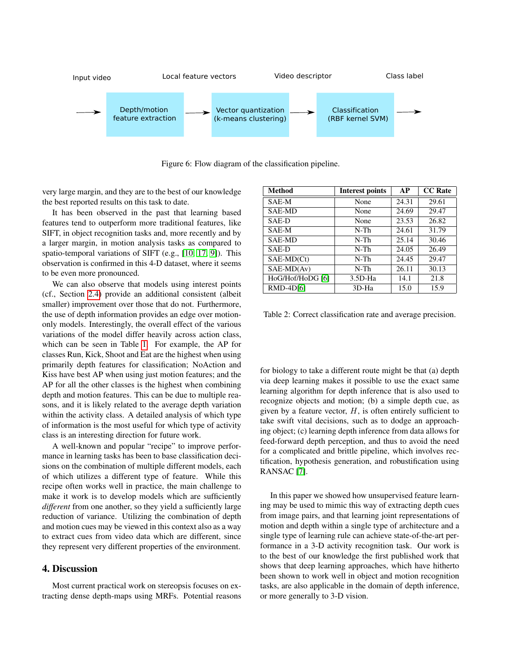<span id="page-6-0"></span>

Figure 6: Flow diagram of the classification pipeline.

very large margin, and they are to the best of our knowledge the best reported results on this task to date.

It has been observed in the past that learning based features tend to outperform more traditional features, like SIFT, in object recognition tasks and, more recently and by a larger margin, in motion analysis tasks as compared to spatio-temporal variations of SIFT (e.g., [\[10,](#page-7-2) [17,](#page-7-3) [9\]](#page-7-11)). This observation is confirmed in this 4-D dataset, where it seems to be even more pronounced.

We can also observe that models using interest points (cf., Section [2.4\)](#page-3-2) provide an additional consistent (albeit smaller) improvement over those that do not. Furthermore, the use of depth information provides an edge over motiononly models. Interestingly, the overall effect of the various variations of the model differ heavily across action class, which can be seen in Table [1.](#page-7-17) For example, the AP for classes Run, Kick, Shoot and Eat are the highest when using primarily depth features for classification; NoAction and Kiss have best AP when using just motion features; and the AP for all the other classes is the highest when combining depth and motion features. This can be due to multiple reasons, and it is likely related to the average depth variation within the activity class. A detailed analysis of which type of information is the most useful for which type of activity class is an interesting direction for future work.

A well-known and popular "recipe" to improve performance in learning tasks has been to base classification decisions on the combination of multiple different models, each of which utilizes a different type of feature. While this recipe often works well in practice, the main challenge to make it work is to develop models which are sufficiently *different* from one another, so they yield a sufficiently large reduction of variance. Utilizing the combination of depth and motion cues may be viewed in this context also as a way to extract cues from video data which are different, since they represent very different properties of the environment.

## 4. Discussion

Most current practical work on stereopsis focuses on extracting dense depth-maps using MRFs. Potential reasons

<span id="page-6-1"></span>

| <b>Method</b>    | <b>Interest points</b> | АP    | <b>CC</b> Rate |  |
|------------------|------------------------|-------|----------------|--|
| SAE-M            | None                   | 24.31 | 29.61          |  |
| <b>SAE-MD</b>    | None                   | 24.69 | 29.47          |  |
| SAE-D            | None                   | 23.53 | 26.82          |  |
| SAE-M            | $N-Th$                 | 24.61 | 31.79          |  |
| <b>SAE-MD</b>    | $N-Th$                 | 25.14 | 30.46          |  |
| SAE-D            | $N-Th$                 | 24.05 | 26.49          |  |
| $SAE-MD(Ct)$     | $N-Th$                 | 24.45 | 29.47          |  |
| SAE-MD(Av)       | $N-Th$                 | 26.11 | 30.13          |  |
| HoG/Hof/HoDG [6] | 3.5D <sub>Ha</sub>     | 14.1  | 21.8           |  |
| $RMD-4D[6]$      | 3D-Ha                  | 15.0  | 15.9           |  |

Table 2: Correct classification rate and average precision.

for biology to take a different route might be that (a) depth via deep learning makes it possible to use the exact same learning algorithm for depth inference that is also used to recognize objects and motion; (b) a simple depth cue, as given by a feature vector,  $H$ , is often entirely sufficient to take swift vital decisions, such as to dodge an approaching object; (c) learning depth inference from data allows for feed-forward depth perception, and thus to avoid the need for a complicated and brittle pipeline, which involves rectification, hypothesis generation, and robustification using RANSAC [\[7\]](#page-7-4).

In this paper we showed how unsupervised feature learning may be used to mimic this way of extracting depth cues from image pairs, and that learning joint representations of motion and depth within a single type of architecture and a single type of learning rule can achieve state-of-the-art performance in a 3-D activity recognition task. Our work is to the best of our knowledge the first published work that shows that deep learning approaches, which have hitherto been shown to work well in object and motion recognition tasks, are also applicable in the domain of depth inference, or more generally to 3-D vision.